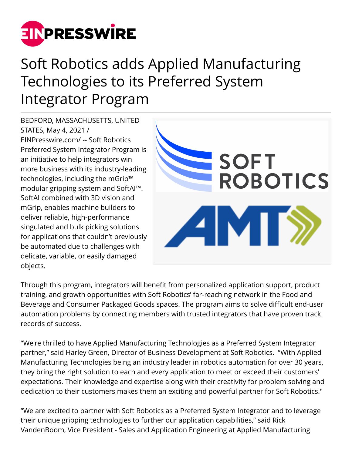

## Soft Robotics adds Applied Manufacturing Technologies to its Preferred System Integrator Program

BEDFORD, MASSACHUSETTS, UNITED STATES, May 4, 2021 / [EINPresswire.com](http://www.einpresswire.com)/ -- Soft Robotics Preferred System Integrator Program is an initiative to help integrators win more business with its industry-leading technologies, including the mGrip™ modular gripping system and SoftAI™. SoftAI combined with 3D vision and mGrip, enables machine builders to deliver reliable, high-performance singulated and bulk picking solutions for applications that couldn't previously be automated due to challenges with delicate, variable, or easily damaged objects.



Through this program, integrators will benefit from personalized application support, product training, and growth opportunities with Soft Robotics' far-reaching network in the Food and Beverage and Consumer Packaged Goods spaces. The program aims to solve difficult end-user automation problems by connecting members with trusted integrators that have proven track records of success.

"We're thrilled to have Applied Manufacturing Technologies as a Preferred System Integrator partner," said Harley Green, Director of Business Development at Soft Robotics. "With Applied Manufacturing Technologies being an industry leader in robotics automation for over 30 years, they bring the right solution to each and every application to meet or exceed their customers' expectations. Their knowledge and expertise along with their creativity for problem solving and dedication to their customers makes them an exciting and powerful partner for Soft Robotics."

"We are excited to partner with Soft Robotics as a Preferred System Integrator and to leverage their unique gripping technologies to further our application capabilities," said Rick VandenBoom, Vice President - Sales and Application Engineering at Applied Manufacturing